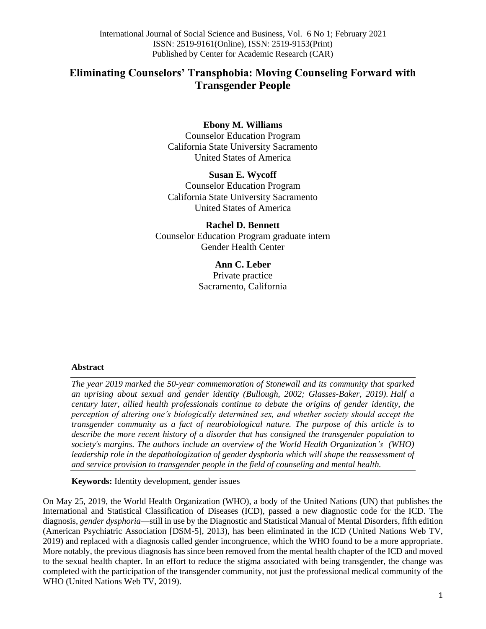# **Eliminating Counselors' Transphobia: Moving Counseling Forward with Transgender People**

# **Ebony M. Williams**

Counselor Education Program California State University Sacramento United States of America

**Susan E. Wycoff** Counselor Education Program California State University Sacramento United States of America

**Rachel D. Bennett** Counselor Education Program graduate intern Gender Health Center

> **Ann C. Leber** Private practice Sacramento, California

## **Abstract**

*The year 2019 marked the 50-year commemoration of Stonewall and its community that sparked an uprising about sexual and gender identity (Bullough, 2002; Glasses-Baker, 2019). Half a century later, allied health professionals continue to debate the origins of gender identity, the perception of altering one's biologically determined sex, and whether society should accept the transgender community as a fact of neurobiological nature. The purpose of this article is to describe the more recent history of a disorder that has consigned the transgender population to society's margins. The authors include an overview of the World Health Organization's (WHO) leadership role in the depathologization of gender dysphoria which will shape the reassessment of and service provision to transgender people in the field of counseling and mental health.* 

**Keywords:** Identity development, gender issues

On May 25, 2019, the World Health Organization (WHO), a body of the United Nations (UN) that publishes the International and Statistical Classification of Diseases (ICD), passed a new diagnostic code for the ICD. The diagnosis, *gender dysphoria*—still in use by the Diagnostic and Statistical Manual of Mental Disorders, fifth edition (American Psychiatric Association [DSM-5], 2013), has been eliminated in the ICD (United Nations Web TV, 2019) and replaced with a diagnosis called gender incongruence, which the WHO found to be a more appropriate. More notably, the previous diagnosis has since been removed from the mental health chapter of the ICD and moved to the sexual health chapter. In an effort to reduce the stigma associated with being transgender, the change was completed with the participation of the transgender community, not just the professional medical community of the WHO (United Nations Web TV, 2019).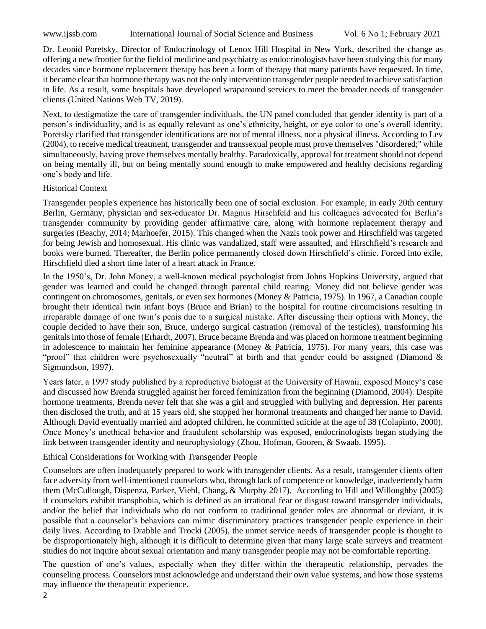Dr. Leonid Poretsky, Director of Endocrinology of Lenox Hill Hospital in New York, described the change as offering a new frontier for the field of medicine and psychiatry as endocrinologists have been studying this for many decades since hormone replacement therapy has been a form of therapy that many patients have requested. In time, it became clear that hormone therapy was not the only intervention transgender people needed to achieve satisfaction in life. As a result, some hospitals have developed wraparound services to meet the broader needs of transgender clients (United Nations Web TV, 2019).

Next, to destigmatize the care of transgender individuals, the UN panel concluded that gender identity is part of a person's individuality, and is as equally relevant as one's ethnicity, height, or eye color to one's overall identity. Poretsky clarified that transgender identifications are not of mental illness, nor a physical illness. According to Lev (2004), to receive medical treatment, transgender and transsexual people must prove themselves "disordered;" while simultaneously, having prove themselves mentally healthy. Paradoxically, approval for treatment should not depend on being mentally ill, but on being mentally sound enough to make empowered and healthy decisions regarding one's body and life.

#### Historical Context

Transgender people's experience has historically been one of social exclusion. For example, in early 20th century Berlin, Germany, physician and sex-educator Dr. Magnus Hirschfeld and his colleagues advocated for Berlin's transgender community by providing gender affirmative care, along with hormone replacement therapy and surgeries (Beachy, 2014; Marhoefer, 2015). This changed when the Nazis took power and Hirschfield was targeted for being Jewish and homosexual. His clinic was vandalized, staff were assaulted, and Hirschfield's research and books were burned. Thereafter, the Berlin police permanently closed down Hirschfield's clinic. Forced into exile, Hirschfield died a short time later of a heart attack in France.

In the 1950's, Dr. John Money, a well-known medical psychologist from Johns Hopkins University, argued that gender was learned and could be changed through parental child rearing. Money did not believe gender was contingent on chromosomes, genitals, or even sex hormones (Money & Patricia, 1975). In 1967, a Canadian couple brought their identical twin infant boys (Bruce and Brian) to the hospital for routine circumcisions resulting in irreparable damage of one twin's penis due to a surgical mistake. After discussing their options with Money, the couple decided to have their son, Bruce, undergo surgical castration (removal of the testicles), transforming his genitals into those of female (Erhardt, 2007). Bruce became Brenda and was placed on hormone treatment beginning in adolescence to maintain her feminine appearance (Money & Patricia, 1975). For many years, this case was "proof" that children were psychosexually "neutral" at birth and that gender could be assigned (Diamond & Sigmundson, 1997).

Years later, a 1997 study published by a reproductive biologist at the University of Hawaii, exposed Money's case and discussed how Brenda struggled against her forced feminization from the beginning (Diamond, 2004). Despite hormone treatments, Brenda never felt that she was a girl and struggled with bullying and depression. Her parents then disclosed the truth, and at 15 years old, she stopped her hormonal treatments and changed her name to David. Although David eventually married and adopted children, he committed suicide at the age of 38 (Colapinto, 2000). Once Money's unethical behavior and fraudulent scholarship was exposed, endocrinologists began studying the link between transgender identity and neurophysiology (Zhou, Hofman, Gooren, & Swaab, 1995).

#### Ethical Considerations for Working with Transgender People

Counselors are often inadequately prepared to work with transgender clients. As a result, transgender clients often face adversity from well-intentioned counselors who, through lack of competence or knowledge, inadvertently harm them (McCullough, Dispenza, Parker, Viehl, Chang, & Murphy 2017). According to Hill and Willoughby (2005) if counselors exhibit transphobia, which is defined as an irrational fear or disgust toward transgender individuals, and/or the belief that individuals who do not conform to traditional gender roles are abnormal or deviant, it is possible that a counselor's behaviors can mimic discriminatory practices transgender people experience in their daily lives. According to Drabble and Trocki (2005), the unmet service needs of transgender people is thought to be disproportionately high, although it is difficult to determine given that many large scale surveys and treatment studies do not inquire about sexual orientation and many transgender people may not be comfortable reporting.

The question of one's values, especially when they differ within the therapeutic relationship, pervades the counseling process. Counselors must acknowledge and understand their own value systems, and how those systems may influence the therapeutic experience.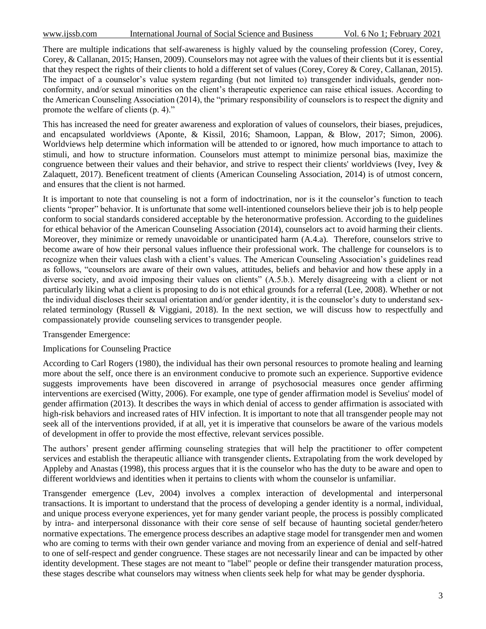There are multiple indications that self-awareness is highly valued by the counseling profession (Corey, Corey, Corey, & Callanan, 2015; Hansen, 2009). Counselors may not agree with the values of their clients but it is essential that they respect the rights of their clients to hold a different set of values (Corey, Corey & Corey, Callanan, 2015). The impact of a counselor's value system regarding (but not limited to) transgender individuals, gender nonconformity, and/or sexual minorities on the client's therapeutic experience can raise ethical issues. According to the American Counseling Association (2014), the "primary responsibility of counselors is to respect the dignity and promote the welfare of clients (p. 4)."

This has increased the need for greater awareness and exploration of values of counselors, their biases, prejudices, and encapsulated worldviews (Aponte, & Kissil, 2016; Shamoon, Lappan, & Blow, 2017; Simon, 2006). Worldviews help determine which information will be attended to or ignored, how much importance to attach to stimuli, and how to structure information. Counselors must attempt to minimize personal bias, maximize the congruence between their values and their behavior, and strive to respect their clients' worldviews (Ivey, Ivey & Zalaquett, 2017). Beneficent treatment of clients (American Counseling Association, 2014) is of utmost concern, and ensures that the client is not harmed.

It is important to note that counseling is not a form of indoctrination, nor is it the counselor's function to teach clients "proper" behavior. It is unfortunate that some well-intentioned counselors believe their job is to help people conform to social standards considered acceptable by the heteronormative profession. According to the guidelines for ethical behavior of the American Counseling Association (2014), counselors act to avoid harming their clients. Moreover, they minimize or remedy unavoidable or unanticipated harm (A.4.a). Therefore, counselors strive to become aware of how their personal values influence their professional work. The challenge for counselors is to recognize when their values clash with a client's values. The American Counseling Association's guidelines read as follows, "counselors are aware of their own values, attitudes, beliefs and behavior and how these apply in a diverse society, and avoid imposing their values on clients" (A.5.b.). Merely disagreeing with a client or not particularly liking what a client is proposing to do is not ethical grounds for a referral (Lee, 2008). Whether or not the individual discloses their sexual orientation and/or gender identity, it is the counselor's duty to understand sexrelated terminology (Russell & Viggiani, 2018). In the next section, we will discuss how to respectfully and compassionately provide counseling services to transgender people.

#### Transgender Emergence:

#### Implications for Counseling Practice

According to Carl Rogers (1980), the individual has their own personal resources to promote healing and learning more about the self, once there is an environment conducive to promote such an experience. Supportive evidence suggests improvements have been discovered in arrange of psychosocial measures once gender affirming interventions are exercised (Witty, 2006). For example, one type of gender affirmation model is Sevelius' model of gender affirmation (2013). It describes the ways in which denial of access to gender affirmation is associated with high-risk behaviors and increased rates of HIV infection. It is important to note that all transgender people may not seek all of the interventions provided, if at all, yet it is imperative that counselors be aware of the various models of development in offer to provide the most effective, relevant services possible.

The authors' present gender affirming counseling strategies that will help the practitioner to offer competent services and establish the therapeutic alliance with transgender clients**.** Extrapolating from the work developed by Appleby and Anastas (1998), this process argues that it is the counselor who has the duty to be aware and open to different worldviews and identities when it pertains to clients with whom the counselor is unfamiliar.

Transgender emergence (Lev, 2004) involves a complex interaction of developmental and interpersonal transactions. It is important to understand that the process of developing a gender identity is a normal, individual, and unique process everyone experiences, yet for many gender variant people, the process is possibly complicated by intra- and interpersonal dissonance with their core sense of self because of haunting societal gender/hetero normative expectations. The emergence process describes an adaptive stage model for transgender men and women who are coming to terms with their own gender variance and moving from an experience of denial and self-hatred to one of self-respect and gender congruence. These stages are not necessarily linear and can be impacted by other identity development. These stages are not meant to "label" people or define their transgender maturation process, these stages describe what counselors may witness when clients seek help for what may be gender dysphoria.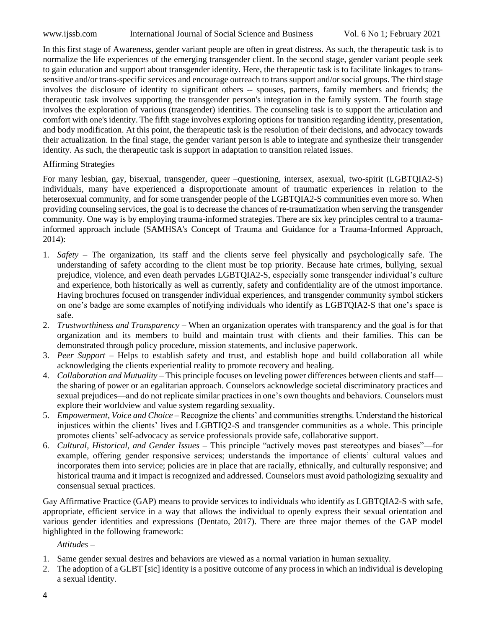In this first stage of Awareness, gender variant people are often in great distress. As such, the therapeutic task is to normalize the life experiences of the emerging transgender client. In the second stage, gender variant people seek to gain education and support about transgender identity. Here, the therapeutic task is to facilitate linkages to transsensitive and/or trans-specific services and encourage outreach to trans support and/or social groups. The third stage involves the disclosure of identity to significant others -- spouses, partners, family members and friends; the therapeutic task involves supporting the transgender person's integration in the family system. The fourth stage involves the exploration of various (transgender) identities. The counseling task is to support the articulation and comfort with one's identity. The fifth stage involves exploring options for transition regarding identity, presentation, and body modification. At this point, the therapeutic task is the resolution of their decisions, and advocacy towards their actualization. In the final stage, the gender variant person is able to integrate and synthesize their transgender identity. As such, the therapeutic task is support in adaptation to transition related issues.

### Affirming Strategies

For many lesbian, gay, bisexual, transgender, queer –questioning, intersex, asexual, two-spirit (LGBTQIA2-S) individuals, many have experienced a disproportionate amount of traumatic experiences in relation to the heterosexual community, and for some transgender people of the LGBTQIA2-S communities even more so. When providing counseling services, the goal is to decrease the chances of re-traumatization when serving the transgender community. One way is by employing trauma-informed strategies. There are six key principles central to a traumainformed approach include (SAMHSA's Concept of Trauma and Guidance for a Trauma-Informed Approach, 2014):

- 1. *Safety* The organization, its staff and the clients serve feel physically and psychologically safe. The understanding of safety according to the client must be top priority. Because hate crimes, bullying, sexual prejudice, violence, and even death pervades LGBTQIA2-S, especially some transgender individual's culture and experience, both historically as well as currently, safety and confidentiality are of the utmost importance. Having brochures focused on transgender individual experiences, and transgender community symbol stickers on one's badge are some examples of notifying individuals who identify as LGBTQIA2-S that one's space is safe.
- 2. *Trustworthiness and Transparency* When an organization operates with transparency and the goal is for that organization and its members to build and maintain trust with clients and their families. This can be demonstrated through policy procedure, mission statements, and inclusive paperwork.
- 3. *Peer Support* Helps to establish safety and trust, and establish hope and build collaboration all while acknowledging the clients experiential reality to promote recovery and healing.
- 4. *Collaboration and Mutuality* This principle focuses on leveling power differences between clients and staff the sharing of power or an egalitarian approach. Counselors acknowledge societal discriminatory practices and sexual prejudices—and do not replicate similar practices in one's own thoughts and behaviors. Counselors must explore their worldview and value system regarding sexuality.
- 5. *Empowerment, Voice and Choice* Recognize the clients' and communities strengths. Understand the historical injustices within the clients' lives and LGBTIQ2-S and transgender communities as a whole. This principle promotes clients' self-advocacy as service professionals provide safe, collaborative support.
- 6. *Cultural, Historical, and Gender Issues* This principle "actively moves past stereotypes and biases"—for example, offering gender responsive services; understands the importance of clients' cultural values and incorporates them into service; policies are in place that are racially, ethnically, and culturally responsive; and historical trauma and it impact is recognized and addressed. Counselors must avoid pathologizing sexuality and consensual sexual practices.

Gay Affirmative Practice (GAP) means to provide services to individuals who identify as LGBTQIA2-S with safe, appropriate, efficient service in a way that allows the individual to openly express their sexual orientation and various gender identities and expressions (Dentato, 2017). There are three major themes of the GAP model highlighted in the following framework:

*Attitudes –*

- 1. Same gender sexual desires and behaviors are viewed as a normal variation in human sexuality.
- 2. The adoption of a GLBT [sic] identity is a positive outcome of any process in which an individual is developing a sexual identity.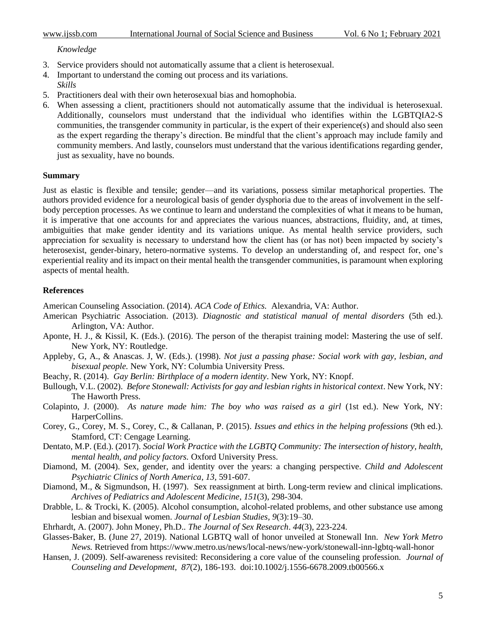#### *Knowledge*

- 3. Service providers should not automatically assume that a client is heterosexual.
- 4. Important to understand the coming out process and its variations. *Skills*
- 5. Practitioners deal with their own heterosexual bias and homophobia.
- 6. When assessing a client, practitioners should not automatically assume that the individual is heterosexual. Additionally, counselors must understand that the individual who identifies within the LGBTQIA2-S communities, the transgender community in particular, is the expert of their experience(s) and should also seen as the expert regarding the therapy's direction. Be mindful that the client's approach may include family and community members. And lastly, counselors must understand that the various identifications regarding gender, just as sexuality, have no bounds.

#### **Summary**

Just as elastic is flexible and tensile; gender—and its variations, possess similar metaphorical properties. The authors provided evidence for a neurological basis of gender dysphoria due to the areas of involvement in the selfbody perception processes. As we continue to learn and understand the complexities of what it means to be human, it is imperative that one accounts for and appreciates the various nuances, abstractions, fluidity, and, at times, ambiguities that make gender identity and its variations unique. As mental health service providers, such appreciation for sexuality is necessary to understand how the client has (or has not) been impacted by society's heterosexist, gender-binary, hetero-normative systems. To develop an understanding of, and respect for, one's experiential reality and its impact on their mental health the transgender communities, is paramount when exploring aspects of mental health.

#### **References**

American Counseling Association. (2014). *ACA Code of Ethics.* Alexandria, VA: Author.

- American Psychiatric Association. (2013). *Diagnostic and statistical manual of mental disorders* (5th ed.). Arlington, VA: Author.
- Aponte, H. J., & Kissil, K. (Eds.). (2016). The person of the therapist training model: Mastering the use of self. New York, NY: Routledge.
- Appleby, G, A., & Anascas. J, W. (Eds.). (1998). *Not just a passing phase: Social work with gay, lesbian, and bisexual people.* New York, NY: Columbia University Press.
- Beachy, R. (2014). *Gay Berlin: Birthplace of a modern identity*. New York, NY: Knopf.
- Bullough, V.L. (2002). *Before Stonewall: Activists for gay and lesbian rights in historical context*. New York, NY: The Haworth Press.
- Colapinto, J. (2000). *As nature made him: The boy who was raised as a girl* (1st ed.). New York, NY: HarperCollins.
- Corey, G., Corey, M. S., Corey, C., & Callanan, P. (2015). *Issues and ethics in the helping professions* (9th ed.). Stamford, CT: Cengage Learning.
- Dentato, M.P. (Ed.). (2017). *Social Work Practice with the LGBTQ Community: The intersection of history, health, mental health, and policy factors.* Oxford University Press.
- Diamond, M. (2004). Sex, gender, and identity over the years: a changing perspective. *Child and Adolescent Psychiatric Clinics of North America, 13,* 591-607.
- Diamond, M., & Sigmundson, H. (1997). Sex reassignment at birth. Long-term review and clinical implications. *Archives of Pediatrics and Adolescent Medicine*, *151*(3), 298-304.
- Drabble, L. & Trocki, K. (2005). Alcohol consumption, alcohol-related problems, and other substance use among lesbian and bisexual women. *Journal of Lesbian Studies, 9*(3):19–30.
- Ehrhardt, A. (2007). John Money, Ph.D.. *The Journal of Sex Research*. *44*(3), 223-224.
- Glasses-Baker, B. (June 27, 2019). National LGBTQ wall of honor unveiled at Stonewall Inn. *New York Metro News.* Retrieved from https://www.metro.us/news/local-news/new-york/stonewall-inn-lgbtq-wall-hono[r](https://www.metro.us/news/local-news/new-york/stonewall-inn-lgbtq-wall-honor)
- Hansen, J. (2009). Self-awareness revisited: Reconsidering a core value of the counseling profession. *[Journal of](https://search-proquest-com.proxy.lib.csus.edu/pubidlinkhandler/sng/pubtitle/Journal+of+Counseling+and+Development+:+JCD/$N/25041/DocView/219040717/fulltext/F4E44B4744484481PQ/1?accountid=10358)  [Counseling and](https://search-proquest-com.proxy.lib.csus.edu/pubidlinkhandler/sng/pubtitle/Journal+of+Counseling+and+Development+:+JCD/$N/25041/DocView/219040717/fulltext/F4E44B4744484481PQ/1?accountid=10358) [Development,](https://search-proquest-com.proxy.lib.csus.edu/pubidlinkhandler/sng/pubtitle/Journal+of+Counseling+and+Development+:+JCD/$N/25041/DocView/219040717/fulltext/F4E44B4744484481PQ/1?accountid=10358) [8](https://search-proquest-com.proxy.lib.csus.edu/pubidlinkhandler/sng/pubtitle/Journal+of+Counseling+and+Development+:+JCD/$N/25041/DocView/219040717/fulltext/F4E44B4744484481PQ/1?accountid=10358)7*(2), 186-193. doi:10.1002/j.1556-6678.2009.tb00566.x